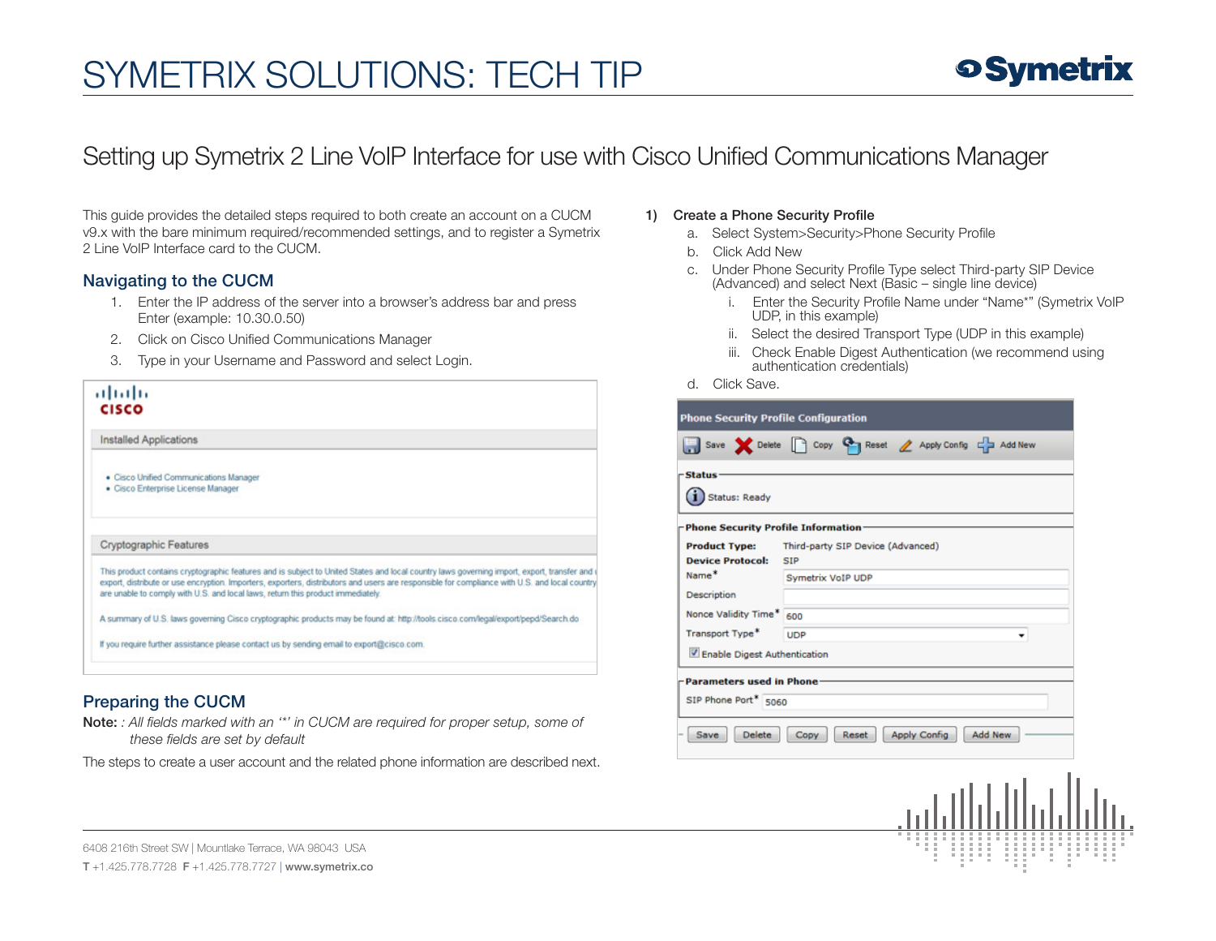### Setting up Symetrix 2 Line VoIP Interface for use with Cisco Unified Communications Manager

This guide provides the detailed steps required to both create an account on a CUCM v9.x with the bare minimum required/recommended settings, and to register a Symetrix 2 Line VoIP Interface card to the CUCM.

### Navigating to the CUCM

- 1. Enter the IP address of the server into a browser's address bar and press Enter (example: 10.30.0.50)
- 2. Click on Cisco Unified Communications Manager
- 3. Type in your Username and Password and select Login.



### Preparing the CUCM

Note: *: All fields marked with an '\*' in CUCM are required for proper setup, some of these fields are set by default*

The steps to create a user account and the related phone information are described next.

#### 1) Create a Phone Security Profile

- a. Select System>Security>Phone Security Profile
- b. Click Add New
- c. Under Phone Security Profile Type select Third-party SIP Device (Advanced) and select Next (Basic – single line device)
	- i. Enter the Security Profile Name under "Name\*" (Symetrix VoIP UDP, in this example)
	- ii. Select the desired Transport Type (UDP in this example)
	- iii. Check Enable Digest Authentication (we recommend using authentication credentials)
- d. Click Save.

| <b>Phone Security Profile Configuration</b> |                                                     |  |  |  |  |  |
|---------------------------------------------|-----------------------------------------------------|--|--|--|--|--|
|                                             | Save Solete Copy Capeset Apply Config Capes Add New |  |  |  |  |  |
| -Status <sup>.</sup>                        |                                                     |  |  |  |  |  |
| <b>Status: Ready</b>                        |                                                     |  |  |  |  |  |
| Phone Security Profile Information          |                                                     |  |  |  |  |  |
| <b>Product Type:</b>                        | Third-party SIP Device (Advanced)                   |  |  |  |  |  |
| <b>Device Protocol:</b>                     | <b>SIP</b>                                          |  |  |  |  |  |
| Name <sup>*</sup>                           | <b>Symetrix VolP UDP</b>                            |  |  |  |  |  |
| Description                                 |                                                     |  |  |  |  |  |
| Nonce Validity Time <sup>*</sup>            | 600                                                 |  |  |  |  |  |
| Transport Type*                             | <b>UDP</b>                                          |  |  |  |  |  |
| Enable Digest Authentication                |                                                     |  |  |  |  |  |
| - Parameters used in Phone                  |                                                     |  |  |  |  |  |
| SIP Phone Port* 5060                        |                                                     |  |  |  |  |  |
| Delete<br>Save                              | <b>Apply Config</b><br>Add New<br>Reset<br>Copy     |  |  |  |  |  |



6408 216th Street SW | Mountlake Terrace, WA 98043 USA

T +1.425.778.7728 F +1.425.778.7727 | www.symetrix.co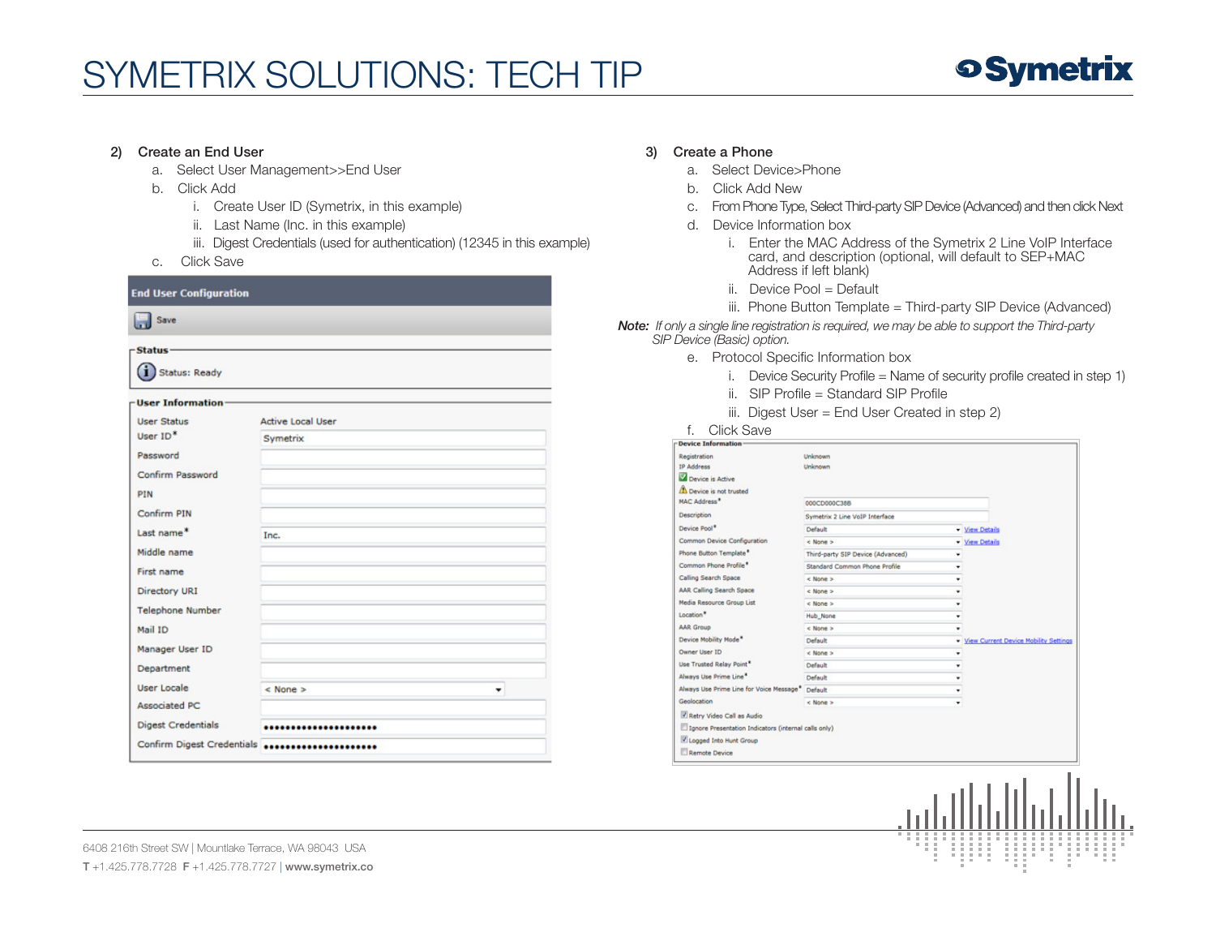

#### 2) Create an End User

- a. Select User Management>>End User
- b. Click Add
	- i. Create User ID (Symetrix, in this example)
	- ii. Last Name (Inc. in this example)
	- iii. Digest Credentials (used for authentication) (12345 in this example)
- c. Click Save

| <b>End User Configuration</b> |                          |
|-------------------------------|--------------------------|
| Save                          |                          |
| -Status·                      |                          |
| <b>Status: Ready</b>          |                          |
| <b>User Information</b>       |                          |
| <b>User Status</b>            | <b>Active Local User</b> |
| User ID <sup>*</sup>          | Symetrix                 |
| Password                      |                          |
| Confirm Password              |                          |
| PIN                           |                          |
| Confirm PIN                   |                          |
| Last name*                    | Inc.                     |
| Middle name                   |                          |
| First name                    |                          |
| Directory URI                 |                          |
| <b>Telephone Number</b>       |                          |
| Mail ID                       |                          |
| Manager User ID               |                          |
| Department                    |                          |
| <b>User Locale</b>            | $<$ None $>$<br>٠        |
| <b>Associated PC</b>          |                          |
| <b>Digest Credentials</b>     |                          |
| Confirm Digest Credentials    |                          |

#### 3) Create a Phone

- a. Select Device>Phone
- b. Click Add New
- c. From Phone Type, Select Third-party SIP Device (Advanced) and then click Next
- d. Device Information box
	- i. Enter the MAC Address of the Symetrix 2 Line VoIP Interface card, and description (optional, will default to SEP+MAC Address if left blank)
	- ii. Device Pool = Default
	- iii. Phone Button Template = Third-party SIP Device (Advanced)
- *Note: If only a single line registration is required, we may be able to support the Third-party SIP Device (Basic) option.*
	- e. Protocol Specific Information box
		- i. Device Security Profile = Name of security profile created in step 1)
		- ii. SIP Profile = Standard SIP Profile
		- iii. Digest User = End User Created in step 2)

#### f. Click Save

| <b>Device Information</b>                            |                                   |   |                                       |
|------------------------------------------------------|-----------------------------------|---|---------------------------------------|
| Registration                                         | Unknown                           |   |                                       |
| <b>IP Address</b>                                    | Unknown                           |   |                                       |
| Device is Active                                     |                                   |   |                                       |
| Device is not trusted                                |                                   |   |                                       |
| MAC Address <sup>*</sup>                             | 000CD000C388                      |   |                                       |
| Description                                          | Symetrix 2 Line VolP Interface    |   |                                       |
| Device Pool*                                         | Default                           |   | - View Details                        |
| Common Device Configuration                          | < None >                          |   | - View Details                        |
| Phone Button Template*                               | Third-party SIP Device (Advanced) | ٠ |                                       |
| Common Phone Profile*                                | Standard Common Phone Profile     |   |                                       |
| Calling Search Space                                 | < None >                          | ٠ |                                       |
| AAR Calling Search Space                             | < None >                          | ٠ |                                       |
| <b>Media Resource Group List</b>                     | < None >                          | ٠ |                                       |
| Location <sup>*</sup>                                | <b>Hub</b> None                   | ٠ |                                       |
| <b>AAR Group</b>                                     | < None >                          | ٠ |                                       |
| Device Mobility Mode <sup>*</sup>                    | Default                           | ٠ | View Current Device Mobility Settings |
| Owner User ID                                        | $<$ None $>$                      | ٠ |                                       |
| <b>Use Trusted Relay Point*</b>                      | Default                           | ٠ |                                       |
| Always Use Prime Line*                               | Default                           | ٠ |                                       |
| Always Use Prime Line for Voice Message*             | Default                           | ٠ |                                       |
| Geolocation                                          | $<$ None $>$                      | ۰ |                                       |
| Retry Video Call as Audio                            |                                   |   |                                       |
| Ignore Presentation Indicators (internal calls only) |                                   |   |                                       |
| Logged Into Hunt Group                               |                                   |   |                                       |
| <b>Remote Device</b>                                 |                                   |   |                                       |



6408 216th Street SW | Mountlake Terrace, WA 98043 USA T +1.425.778.7728 F +1.425.778.7727 | www.symetrix.co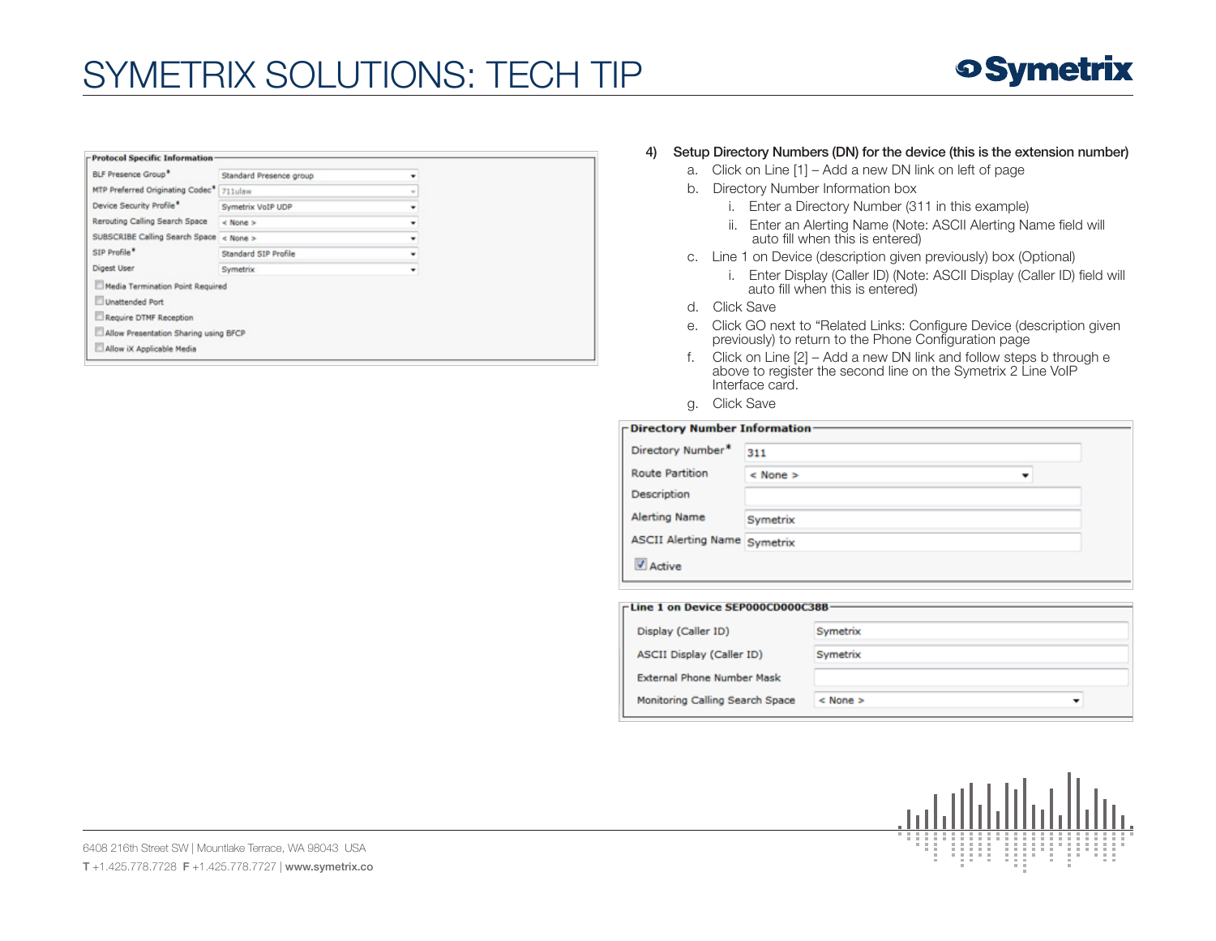

| <b>Protocol Specific Information</b>     |                         |  |
|------------------------------------------|-------------------------|--|
| BLF Presence Group*                      | Standard Presence group |  |
| MTP Preferred Originating Codec* 711ulaw |                         |  |
| Device Security Profile*                 | Symetrix VolP UDP       |  |
| Rerouting Calling Search Space           | $\leq$ None $\geq$      |  |
| SUBSCRIBE Calling Search Space < None >  |                         |  |
| SIP Profile <sup>*</sup>                 | Standard SIP Profile    |  |
| <b>Digest User</b>                       | Symetrix                |  |
| Media Termination Point Required         |                         |  |
| Unattended Port                          |                         |  |
| Require DTMF Reception                   |                         |  |
| Allow Presentation Sharing using BFCP    |                         |  |
| Allow IX Applicable Media                |                         |  |

#### 4) Setup Directory Numbers (DN) for the device (this is the extension number)

- a. Click on Line [1] Add a new DN link on left of page
- b. Directory Number Information box
	- i. Enter a Directory Number (311 in this example)
	- ii. Enter an Alerting Name (Note: ASCII Alerting Name field will auto fill when this is entered)
- c. Line 1 on Device (description given previously) box (Optional)
	- i. Enter Display (Caller ID) (Note: ASCII Display (Caller ID) field will auto fill when this is entered)
- d. Click Save
- e. Click GO next to "Related Links: Configure Device (description given previously) to return to the Phone Configuration page
- f. Click on Line [2] Add a new DN link and follow steps b through e above to register the second line on the Symetrix 2 Line VoIP Interface card.
	- g. Click Save

| - Directory Number Information      |                                          |  |  |  |
|-------------------------------------|------------------------------------------|--|--|--|
| Directory Number*                   | 311                                      |  |  |  |
| <b>Route Partition</b>              | $<$ None $>$<br>$\overline{\phantom{a}}$ |  |  |  |
| <b>Description</b>                  |                                          |  |  |  |
| <b>Alerting Name</b>                | Symetrix                                 |  |  |  |
| <b>ASCII Alerting Name Symetrix</b> |                                          |  |  |  |
| Active                              |                                          |  |  |  |

| r-Line 1 on Device SEP000CD000C38B- |              |  |
|-------------------------------------|--------------|--|
| Display (Caller ID)                 | Symetrix     |  |
| ASCII Display (Caller ID)           | Symetrix     |  |
| <b>External Phone Number Mask</b>   |              |  |
| Monitoring Calling Search Space     | $<$ None $>$ |  |



6408 216th Street SW | Mountlake Terrace, WA 98043 USA T +1.425.778.7728 F +1.425.778.7727 | www.symetrix.co